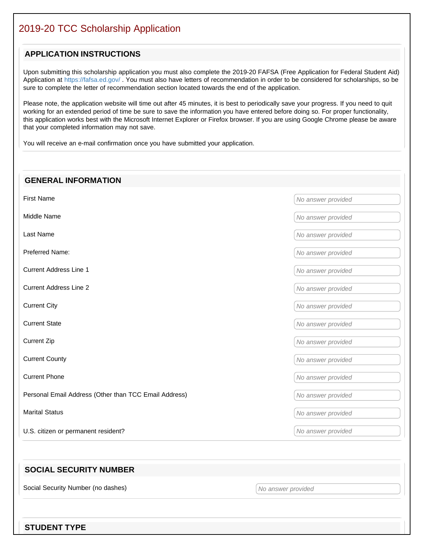# 2019-20 TCC Scholarship Application

### **APPLICATION INSTRUCTIONS**

Upon submitting this scholarship application you must also complete the 2019-20 FAFSA (Free Application for Federal Student Aid) Application at https://fafsa.ed.gov/ . You must also have letters of recommendation in order to be considered for scholarships, so be sure to complete the letter of recommendation section located towards the end of the application.

Please note, the application website will time out after 45 minutes, it is best to periodically save your progress. If you need to quit working for an extended period of time be sure to save the information you have entered before doing so. For proper functionality, this application works best with the Microsoft Internet Explorer or Firefox browser. If you are using Google Chrome please be aware that your completed information may not save.

You will receive an e-mail confirmation once you have submitted your application.

# **GENERAL INFORMATION** First Name Monetary And the Second Second Second Second Second Second Second Second Second Second Second Second Second Second Second Second Second Second Second Second Second Second Second Second Second Second Second Secon Middle Name Middle Name Last Name Monetary Contract Automobile Contract Automobile Contract Automobile Contract Automobile Contract Automobile Contract Automobile Contract Automobile Contract Automobile Contract Automobile Contract Automobile Con **Preferred Name:** No answer provided Current Address Line 1 and 1 and 1 and 1 and 1 and 1 and 1 and 1 and 1 and 1 and 1 and 1 and 1 and 1 and 1 and 1 and 1 and 1 and 1 and 1 and 1 and 1 and 1 and 1 and 1 and 1 and 1 and 1 and 1 and 1 and 1 and 1 and 1 and 1 a Current Address Line 2 and 2 no answer provided No answer provided **Current City** No answer provided **Current State** No answer provided **Current Zip** No answer provided **Current County** No answer provided **Current Phone** No answer provided **Personal Email Address (Other than TCC Email Address)** No answer provided Marital Status Marital Status And the Marital Status And the Marital Status And the Marital Status And the Marital Status And the Marital Status And the Marital Status And the Marital Status And the Marital Status And the U.S. citizen or permanent resident? The state of the state of the state of the state of the state of the state of the state of the state of the state of the state of the state of the state of the state of the state of the

### **SOCIAL SECURITY NUMBER**

Social Security Number (no dashes) No answer provided No answer provided

**STUDENT TYPE**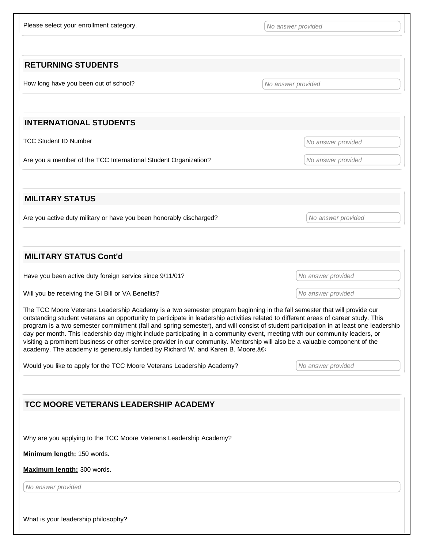Please select your enrollment category. The series of the selection of the series of the series of the series of the series of the series of the series of the series of the series of the series of the series of the series

### **RETURNING STUDENTS**

How long have you been out of school? No answer provided

### **INTERNATIONAL STUDENTS**

TCC Student ID Number No answer provided

Are you a member of the TCC International Student Organization? No answer provided

**MILITARY STATUS**

Are you active duty military or have you been honorably discharged? No answer provided

### **MILITARY STATUS Cont'd**

Have you been active duty foreign service since 9/11/01? No answer provided

Will you be receiving the GI Bill or VA Benefits? No answer provided No answer provided

The TCC Moore Veterans Leadership Academy is a two semester program beginning in the fall semester that will provide our outstanding student veterans an opportunity to participate in leadership activities related to different areas of career study. This program is a two semester commitment (fall and spring semester), and will consist of student participation in at least one leadership day per month. This leadership day might include participating in a community event, meeting with our community leaders, or visiting a prominent business or other service provider in our community. Mentorship will also be a valuable component of the academy. The academy is generously funded by Richard W. and Karen B. Moore.â€

Would you like to apply for the TCC Moore Veterans Leadership Academy? No answer provided

# **TCC MOORE VETERANS LEADERSHIP ACADEMY** Why are you applying to the TCC Moore Veterans Leadership Academy? **Minimum length:** 150 words. **Maximum length:** 300 words. No answer provided What is your leadership philosophy?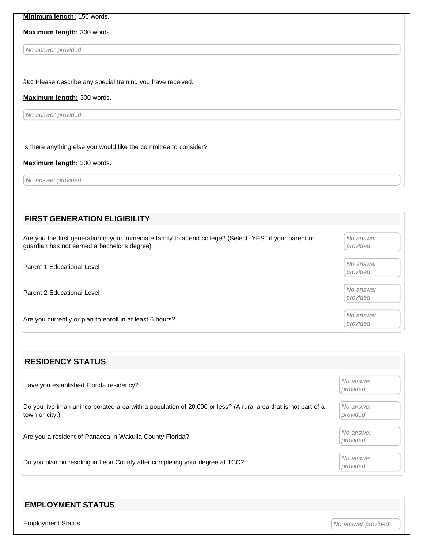### **Minimum length:** 150 words.

### **Maximum length:** 300 words.

No answer provided

• Please describe any special training you have received.

### **Maximum length:** 300 words.

No answer provided

Is there anything else you would like the committee to consider?

#### **Maximum length:** 300 words.

No answer provided

| <b>FIRST GENERATION ELIGIBILITY</b>                                                                                                                      |                       |
|----------------------------------------------------------------------------------------------------------------------------------------------------------|-----------------------|
| Are you the first generation in your immediate family to attend college? (Select "YES" if your parent or<br>guardian has not earned a bachelor's degree) | No answer<br>provided |
| Parent 1 Educational Level                                                                                                                               | No answer<br>provided |
| Parent 2 Educational Level                                                                                                                               | No answer<br>provided |
| Are you currently or plan to enroll in at least 6 hours?                                                                                                 | No answer<br>provided |
|                                                                                                                                                          |                       |

| Have you established Florida residency?                                                                                          | No answer<br>provided |
|----------------------------------------------------------------------------------------------------------------------------------|-----------------------|
| Do you live in an unincorporated area with a population of 20,000 or less? (A rural area that is not part of a<br>town or city.) | No answer<br>provided |
| Are you a resident of Panacea in Wakulla County Florida?                                                                         | No answer<br>provided |
| Do you plan on residing in Leon County after completing your degree at TCC?                                                      | No answer<br>provided |

### **EMPLOYMENT STATUS**

**RESIDENCY STATUS**

Employment Status **Employment Status** And the status of the status of the status of the status of the status of the status of the status of the status of the status of the status of the status of the status of the status o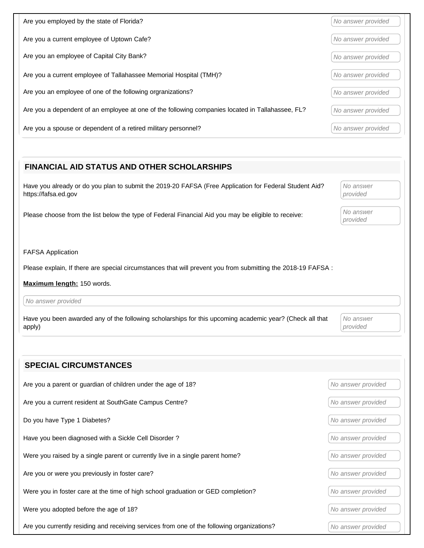| Are you employed by the state of Florida?                                                        | No answer provided |
|--------------------------------------------------------------------------------------------------|--------------------|
| Are you a current employee of Uptown Cafe?                                                       | No answer provided |
| Are you an employee of Capital City Bank?                                                        | No answer provided |
| Are you a current employee of Tallahassee Memorial Hospital (TMH)?                               | No answer provided |
| Are you an employee of one of the following orgranizations?                                      | No answer provided |
| Are you a dependent of an employee at one of the following companies located in Tallahassee, FL? | No answer provided |
| Are you a spouse or dependent of a retired military personnel?                                   | No answer provided |

# **FINANCIAL AID STATUS AND OTHER SCHOLARSHIPS** Have you already or do you plan to submit the 2019-20 FAFSA (Free Application for Federal Student Aid? https://fafsa.ed.gov No answer provided Please choose from the list below the type of Federal Financial Aid you may be eligible to receive: No answer provided FAFSA Application Please explain, If there are special circumstances that will prevent you from submitting the 2018-19 FAFSA : **Maximum length:** 150 words. No answer provided Have you been awarded any of the following scholarships for this upcoming academic year? (Check all that apply) No answer provided

| Are you a parent or guardian of children under the age of 18?                              | No answer provided |
|--------------------------------------------------------------------------------------------|--------------------|
| Are you a current resident at SouthGate Campus Centre?                                     | No answer provided |
| Do you have Type 1 Diabetes?                                                               | No answer provided |
| Have you been diagnosed with a Sickle Cell Disorder?                                       | No answer provided |
| Were you raised by a single parent or currently live in a single parent home?              | No answer provided |
| Are you or were you previously in foster care?                                             | No answer provided |
| Were you in foster care at the time of high school graduation or GED completion?           | No answer provided |
| Were you adopted before the age of 18?                                                     | No answer provided |
| Are you currently residing and receiving services from one of the following organizations? | No answer provided |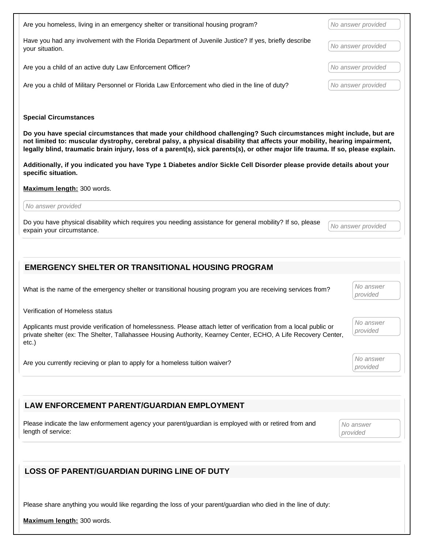| Are you homeless, living in an emergency shelter or transitional housing program?                                                                                                                                                                                                                                                                                                 | No answer provided    |
|-----------------------------------------------------------------------------------------------------------------------------------------------------------------------------------------------------------------------------------------------------------------------------------------------------------------------------------------------------------------------------------|-----------------------|
| Have you had any involvement with the Florida Department of Juvenile Justice? If yes, briefly describe<br>your situation.                                                                                                                                                                                                                                                         | No answer provided    |
| Are you a child of an active duty Law Enforcement Officer?                                                                                                                                                                                                                                                                                                                        | No answer provided    |
| Are you a child of Military Personnel or Florida Law Enforcement who died in the line of duty?                                                                                                                                                                                                                                                                                    | No answer provided    |
| <b>Special Circumstances</b>                                                                                                                                                                                                                                                                                                                                                      |                       |
| Do you have special circumstances that made your childhood challenging? Such circumstances might include, but are<br>not limited to: muscular dystrophy, cerebral palsy, a physical disability that affects your mobility, hearing impairment,<br>legally blind, traumatic brain injury, loss of a parent(s), sick parents(s), or other major life trauma. If so, please explain. |                       |
| Additionally, if you indicated you have Type 1 Diabetes and/or Sickle Cell Disorder please provide details about your<br>specific situation.                                                                                                                                                                                                                                      |                       |
| Maximum length: 300 words.                                                                                                                                                                                                                                                                                                                                                        |                       |
| No answer provided                                                                                                                                                                                                                                                                                                                                                                |                       |
| Do you have physical disability which requires you needing assistance for general mobility? If so, please<br>expain your circumstance.                                                                                                                                                                                                                                            | No answer provided    |
|                                                                                                                                                                                                                                                                                                                                                                                   |                       |
| <b>EMERGENCY SHELTER OR TRANSITIONAL HOUSING PROGRAM</b>                                                                                                                                                                                                                                                                                                                          |                       |
| What is the name of the emergency shelter or transitional housing program you are receiving services from?                                                                                                                                                                                                                                                                        | No answer<br>provided |
| Verification of Homeless status                                                                                                                                                                                                                                                                                                                                                   |                       |
| Applicants must provide verification of homelessness. Please attach letter of verification from a local public or<br>private shelter (ex: The Shelter, Tallahassee Housing Authority, Kearney Center, ECHO, A Life Recovery Center,<br>$etc.$ )                                                                                                                                   | No answer<br>provided |
| Are you currently recieving or plan to apply for a homeless tuition waiver?                                                                                                                                                                                                                                                                                                       | No answer<br>provided |

**LAW ENFORCEMENT PARENT/GUARDIAN EMPLOYMENT**

Please indicate the law enformement agency your parent/guardian is employed with or retired from and length of service:

No answer provided

### **LOSS OF PARENT/GUARDIAN DURING LINE OF DUTY**

Please share anything you would like regarding the loss of your parent/guardian who died in the line of duty:

**Maximum length:** 300 words.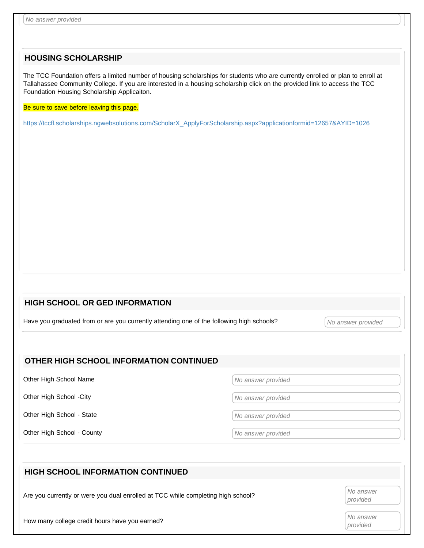### **HOUSING SCHOLARSHIP**

The TCC Foundation offers a limited number of housing scholarships for students who are currently enrolled or plan to enroll at Tallahassee Community College. If you are interested in a housing scholarship click on the provided link to access the TCC Foundation Housing Scholarship Applicaiton.

Be sure to save before leaving this page.

https://tccfl.scholarships.ngwebsolutions.com/ScholarX\_ApplyForScholarship.aspx?applicationformid=12657&AYID=1026

### **HIGH SCHOOL OR GED INFORMATION**

Have you graduated from or are you currently attending one of the following high schools? <br>No answer provided

### **OTHER HIGH SCHOOL INFORMATION CONTINUED**

Other High School Name No answer provided

Other High School -City No answer provided

Other High School - State No answer provided

Other High School - County **No. 2018** County All Mo answer provided

# **HIGH SCHOOL INFORMATION CONTINUED** Are you currently or were you dual enrolled at TCC while completing high school? provided How many college credit hours have you earned? No answer provided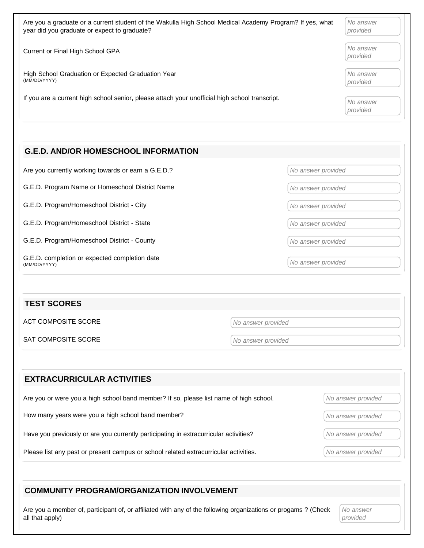| Are you a graduate or a current student of the Wakulla High School Medical Academy Program? If yes, what | No answer             |
|----------------------------------------------------------------------------------------------------------|-----------------------|
| year did you graduate or expect to graduate?                                                             | provided              |
| Current or Final High School GPA                                                                         | No answer<br>provided |
| High School Graduation or Expected Graduation Year                                                       | No answer             |
| (MM/DD/YYYY)                                                                                             | provided              |
| If you are a current high school senior, please attach your unofficial high school transcript.           | No answer<br>provided |

### **G.E.D. AND/OR HOMESCHOOL INFORMATION**

Are you currently working towards or earn a G.E.D.? No answer provided

G.E.D. Program Name or Homeschool District Name Name No answer provided

G.E.D. Program/Homeschool District - City No answer provided

G.E.D. Program/Homeschool District - State No answer provided

G.E.D. Program/Homeschool District - County Note of Allen and Mondows (No answer provided

G.E.D. completion or expected completion date G.E.D. Completion of expected completion date<br>(MM/DD/YYYY) (MM/DD/YYYY)

### **TEST SCORES**

ACT COMPOSITE SCORE No answer provided

SAT COMPOSITE SCORE No answer provided

| <b>EXTRACURRICULAR ACTIVITIES</b>                                                      |                    |
|----------------------------------------------------------------------------------------|--------------------|
| Are you or were you a high school band member? If so, please list name of high school. | No answer provided |
| How many years were you a high school band member?                                     | No answer provided |
| Have you previously or are you currently participating in extracurricular activities?  | No answer provided |
| Please list any past or present campus or school related extracurricular activities.   | No answer provided |

### **COMMUNITY PROGRAM/ORGANIZATION INVOLVEMENT**

Are you a member of, participant of, or affiliated with any of the following organizations or progams ? (Check all that apply)

No answer provided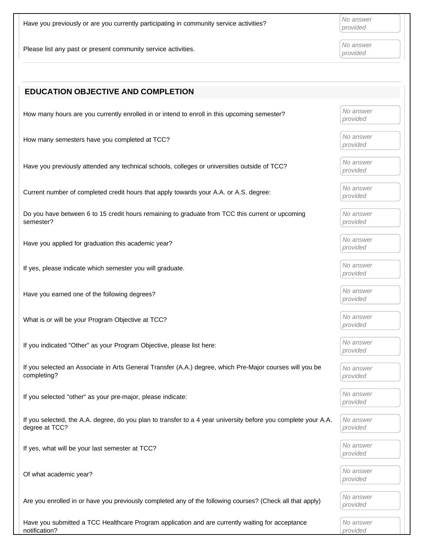Have you previously or are you currently participating in community service activities?  $\bigcap_{provided}$ 

Please list any past or present community service activities.  $\begin{bmatrix} No\ answer\ provided\end{bmatrix}$ 

provided

provided

| <b>EDUCATION OBJECTIVE AND COMPLETION</b>                                                                                        |                       |
|----------------------------------------------------------------------------------------------------------------------------------|-----------------------|
| How many hours are you currently enrolled in or intend to enroll in this upcoming semester?                                      | No answer<br>provided |
| How many semesters have you completed at TCC?                                                                                    | No answer<br>provided |
| Have you previously attended any technical schools, colleges or universities outside of TCC?                                     | No answer<br>provided |
| Current number of completed credit hours that apply towards your A.A. or A.S. degree:                                            | No answer<br>provided |
| Do you have between 6 to 15 credit hours remaining to graduate from TCC this current or upcoming<br>semester?                    | No answer<br>provided |
| Have you applied for graduation this academic year?                                                                              | No answer<br>provided |
| If yes, please indicate which semester you will graduate.                                                                        | No answer<br>provided |
| Have you earned one of the following degrees?                                                                                    | No answer<br>provided |
| What is or will be your Program Objective at TCC?                                                                                | No answer<br>provided |
| If you indicated "Other" as your Program Objective, please list here:                                                            | No answer<br>provided |
| If you selected an Associate in Arts General Transfer (A.A.) degree, which Pre-Major courses will you be<br>completing?          | No answer<br>provided |
| If you selected "other" as your pre-major, please indicate:                                                                      | No answer<br>provided |
| If you selected, the A.A. degree, do you plan to transfer to a 4 year university before you complete your A.A.<br>degree at TCC? | No answer<br>provided |
| If yes, what will be your last semester at TCC?                                                                                  | No answer<br>provided |
| Of what academic year?                                                                                                           | No answer<br>provided |
| Are you enrolled in or have you previously completed any of the following courses? (Check all that apply)                        | No answer<br>provided |
| Have you submitted a TCC Healthcare Program application and are currently waiting for acceptance<br>notification?                | No answer<br>provided |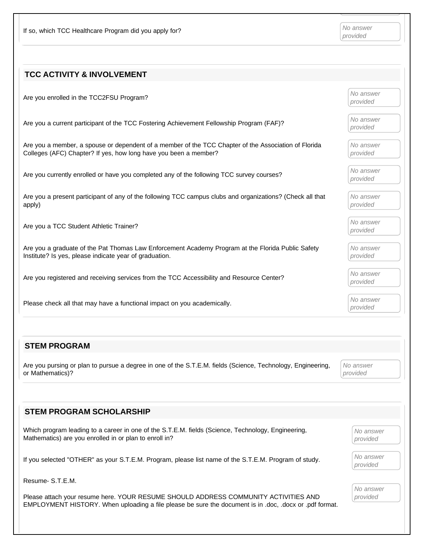If so, which TCC Healthcare Program did you apply for?  $\bigwedge_{n=1}^{\infty} N$  answer

| <b>TCC ACTIVITY &amp; INVOLVEMENT</b>                                                                                                                                    |                       |
|--------------------------------------------------------------------------------------------------------------------------------------------------------------------------|-----------------------|
| Are you enrolled in the TCC2FSU Program?                                                                                                                                 | No answer<br>provided |
| Are you a current participant of the TCC Fostering Achievement Fellowship Program (FAF)?                                                                                 | No answer<br>provided |
| Are you a member, a spouse or dependent of a member of the TCC Chapter of the Association of Florida<br>Colleges (AFC) Chapter? If yes, how long have you been a member? | No answer<br>provided |
| Are you currently enrolled or have you completed any of the following TCC survey courses?                                                                                | No answer<br>provided |
| Are you a present participant of any of the following TCC campus clubs and organizations? (Check all that<br>apply)                                                      | No answer<br>provided |
| Are you a TCC Student Athletic Trainer?                                                                                                                                  | No answer<br>provided |
| Are you a graduate of the Pat Thomas Law Enforcement Academy Program at the Florida Public Safety<br>Institute? Is yes, please indicate year of graduation.              | No answer<br>provided |
| Are you registered and receiving services from the TCC Accessibility and Resource Center?                                                                                | No answer<br>provided |
| Please check all that may have a functional impact on you academically.                                                                                                  | No answer<br>provided |

### **STEM PROGRAM**

Are you pursing or plan to pursue a degree in one of the S.T.E.M. fields (Science, Technology, Engineering, or Mathematics)?

No answer provided

| <b>STEM PROGRAM SCHOLARSHIP</b>                                                                                                                                                                |                       |
|------------------------------------------------------------------------------------------------------------------------------------------------------------------------------------------------|-----------------------|
| Which program leading to a career in one of the S.T.E.M. fields (Science, Technology, Engineering,<br>Mathematics) are you enrolled in or plan to enroll in?                                   | No answer<br>provided |
| If you selected "OTHER" as your S.T.E.M. Program, please list name of the S.T.E.M. Program of study.                                                                                           | No answer<br>provided |
| Resume-S.T.E.M.                                                                                                                                                                                |                       |
| Please attach your resume here. YOUR RESUME SHOULD ADDRESS COMMUNITY ACTIVITIES AND<br>EMPLOYMENT HISTORY. When uploading a file please be sure the document is in .doc, .docx or .pdf format. | No answer<br>provided |
|                                                                                                                                                                                                |                       |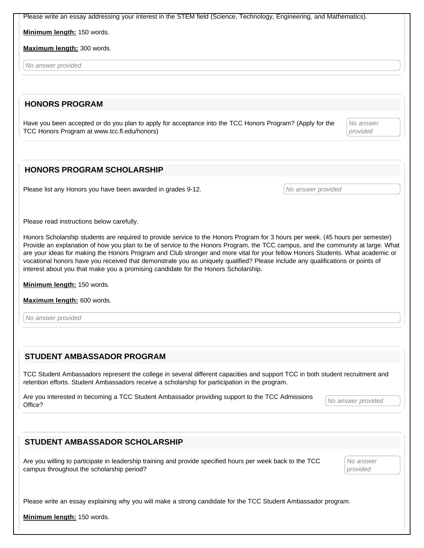Please write an essay addressing your interest in the STEM field (Science, Technology, Engineering, and Mathematics).

**Minimum length:** 150 words.

**Maximum length:** 300 words.

No answer provided

### **HONORS PROGRAM**

Have you been accepted or do you plan to apply for acceptance into the TCC Honors Program? (Apply for the TCC Honors Program at www.tcc.fl.edu/honors)

No answer provided

### **HONORS PROGRAM SCHOLARSHIP**

Please list any Honors you have been awarded in grades 9-12. No answer provided

Please read instructions below carefully.

Honors Scholarship students are required to provide service to the Honors Program for 3 hours per week. (45 hours per semester) Provide an explanation of how you plan to be of service to the Honors Program, the TCC campus, and the community at large. What are your ideas for making the Honors Program and Club stronger and more vital for your fellow Honors Students. What academic or vocational honors have you received that demonstrate you as uniquely qualified? Please include any qualifications or points of interest about you that make you a promising candidate for the Honors Scholarship.

**Minimum length:** 150 words.

**Maximum length:** 600 words.

No answer provided

### **STUDENT AMBASSADOR PROGRAM**

TCC Student Ambassadors represent the college in several different capacities and support TCC in both student recruitment and retention efforts. Student Ambassadors receive a scholarship for participation in the program.

Are you interested in becoming a TCC Student Ambassador providing support to the TCC Admissions *Mo answer provided*<br>Office?

### **STUDENT AMBASSADOR SCHOLARSHIP**

Are you willing to participate in leadership training and provide specified hours per week back to the TCC campus throughout the scholarship period?

No answer provided

Please write an essay explaining why you will make a strong candidate for the TCC Student Ambassador program.

**Minimum length:** 150 words.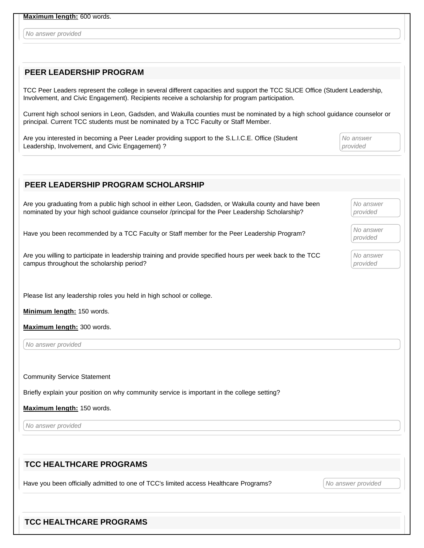**Maximum length:** 600 words.

No answer provided

### **PEER LEADERSHIP PROGRAM**

TCC Peer Leaders represent the college in several different capacities and support the TCC SLICE Office (Student Leadership, Involvement, and Civic Engagement). Recipients receive a scholarship for program participation.

Current high school seniors in Leon, Gadsden, and Wakulla counties must be nominated by a high school guidance counselor or principal. Current TCC students must be nominated by a TCC Faculty or Staff Member.

Are you interested in becoming a Peer Leader providing support to the S.L.I.C.E. Office (Student Leadership, Involvement, and Civic Engagement) ?

No answer provided

| PEER LEADERSHIP PROGRAM SCHOLARSHIP                                                                                                                                                                       |                       |
|-----------------------------------------------------------------------------------------------------------------------------------------------------------------------------------------------------------|-----------------------|
| Are you graduating from a public high school in either Leon, Gadsden, or Wakulla county and have been<br>nominated by your high school guidance counselor /principal for the Peer Leadership Scholarship? | No answer<br>provided |
| Have you been recommended by a TCC Faculty or Staff member for the Peer Leadership Program?                                                                                                               | No answer<br>provided |
| Are you willing to participate in leadership training and provide specified hours per week back to the TCC<br>campus throughout the scholarship period?                                                   | No answer<br>provided |
| Please list any leadership roles you held in high school or college.                                                                                                                                      |                       |
| Minimum length: 150 words.                                                                                                                                                                                |                       |
| Maximum length: 300 words.                                                                                                                                                                                |                       |
| No answer provided                                                                                                                                                                                        |                       |
| <b>Community Service Statement</b>                                                                                                                                                                        |                       |
| Briefly explain your position on why community service is important in the college setting?                                                                                                               |                       |
| Maximum length: 150 words.                                                                                                                                                                                |                       |
| No answer provided                                                                                                                                                                                        |                       |
| <b>TCC HEALTHCARE PROGRAMS</b>                                                                                                                                                                            |                       |
| Have you been officially admitted to one of TCC's limited access Healthcare Programs?                                                                                                                     | No answer provided    |

### **TCC HEALTHCARE PROGRAMS**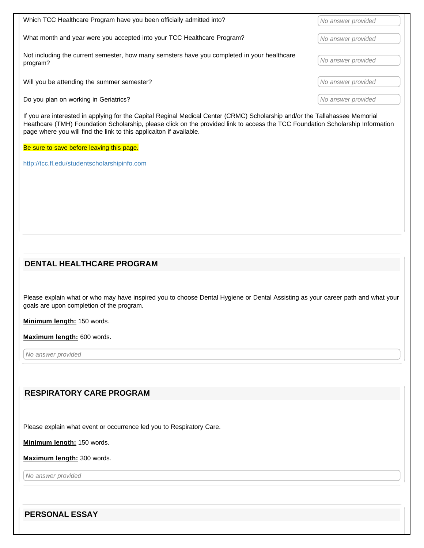| Which TCC Healthcare Program have you been officially admitted into?                                    | No answer provided |
|---------------------------------------------------------------------------------------------------------|--------------------|
| What month and year were you accepted into your TCC Healthcare Program?                                 | No answer provided |
| Not including the current semester, how many semsters have you completed in your healthcare<br>program? | No answer provided |
| Will you be attending the summer semester?                                                              | No answer provided |
| Do you plan on working in Geriatrics?                                                                   | No answer provided |

If you are interested in applying for the Capital Reginal Medical Center (CRMC) Scholarship and/or the Tallahassee Memorial Heathcare (TMH) Foundation Scholarship, please click on the provided link to access the TCC Foundation Scholarship Information page where you will find the link to this applicaiton if available.

Be sure to save before leaving this page.

http://tcc.fl.edu/studentscholarshipinfo.com

### **DENTAL HEALTHCARE PROGRAM**

Please explain what or who may have inspired you to choose Dental Hygiene or Dental Assisting as your career path and what your goals are upon completion of the program.

**Minimum length:** 150 words.

**Maximum length:** 600 words.

No answer provided

### **RESPIRATORY CARE PROGRAM**

Please explain what event or occurrence led you to Respiratory Care.

**Minimum length:** 150 words.

**Maximum length:** 300 words.

No answer provided

**PERSONAL ESSAY**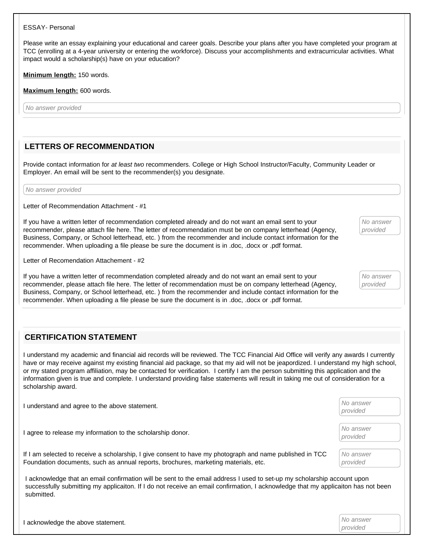#### ESSAY- Personal

Please write an essay explaining your educational and career goals. Describe your plans after you have completed your program at TCC (enrolling at a 4-year university or entering the workforce). Discuss your accomplishments and extracurricular activities. What impact would a scholarship(s) have on your education?

**Minimum length:** 150 words.

**Maximum length:** 600 words.

No answer provided

### **LETTERS OF RECOMMENDATION**

Provide contact information for at least two recommenders. College or High School Instructor/Faculty, Community Leader or Employer. An email will be sent to the recommender(s) you designate.

No answer provided

Letter of Recommendation Attachment - #1

If you have a written letter of recommendation completed already and do not want an email sent to your recommender, please attach file here. The letter of recommendation must be on company letterhead (Agency, Business, Company, or School letterhead, etc. ) from the recommender and include contact information for the recommender. When uploading a file please be sure the document is in .doc, .docx or .pdf format.

Letter of Recomendation Attachement - #2

If you have a written letter of recommendation completed already and do not want an email sent to your recommender, please attach file here. The letter of recommendation must be on company letterhead (Agency, Business, Company, or School letterhead, etc. ) from the recommender and include contact information for the recommender. When uploading a file please be sure the document is in .doc, .docx or .pdf format.

### **CERTIFICATION STATEMENT**

I understand my academic and financial aid records will be reviewed. The TCC Financial Aid Office will verify any awards I currently have or may receive against my existing financial aid package, so that my aid will not be jeapordized. I understand my high school, or my stated program affiliation, may be contacted for verification. I certify I am the person submitting this application and the information given is true and complete. I understand providing false statements will result in taking me out of consideration for a scholarship award.

| understand and agree to the above statement.                                                                                                                                                                                                                             | No answer<br>provided |
|--------------------------------------------------------------------------------------------------------------------------------------------------------------------------------------------------------------------------------------------------------------------------|-----------------------|
| I agree to release my information to the scholarship donor.                                                                                                                                                                                                              | No answer<br>provided |
| If I am selected to receive a scholarship, I give consent to have my photograph and name published in TCC<br>Foundation documents, such as annual reports, brochures, marketing materials, etc.                                                                          | No answer<br>provided |
| acknowledge that an email confirmation will be sent to the email address I used to set-up my scholarship account upon<br>successfully submitting my applicaiton. If I do not receive an email confirmation, I acknowledge that my applicaiton has not been<br>submitted. |                       |

| I acknowledge the above statement. | No answer |
|------------------------------------|-----------|
|                                    | provided  |

No answer provided

No answer provided